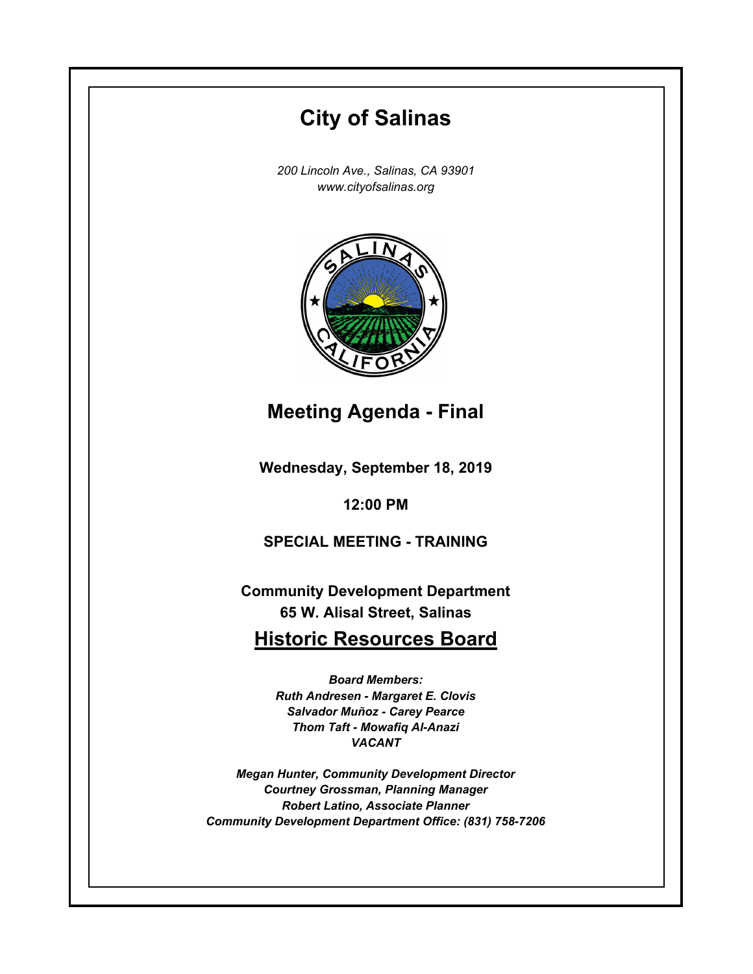# **Wednesday, September 18, 2019 12:00 PM City of Salinas** *200 Lincoln Ave., Salinas, CA 93901 www.cityofsalinas.org* **Community Development Department 65 W. Alisal Street, Salinas Historic Resources Board** *Board Members: Ruth Andresen - Margaret E. Clovis Salvador Muñoz - Carey Pearce Thom Taft - Mowafiq Al-Anazi VACANT Megan Hunter, Community Development Director Courtney Grossman, Planning Manager Robert Latino, Associate Planner Community Development Department Office: (831) 758-7206* **Meeting Agenda - Final SPECIAL MEETING - TRAINING**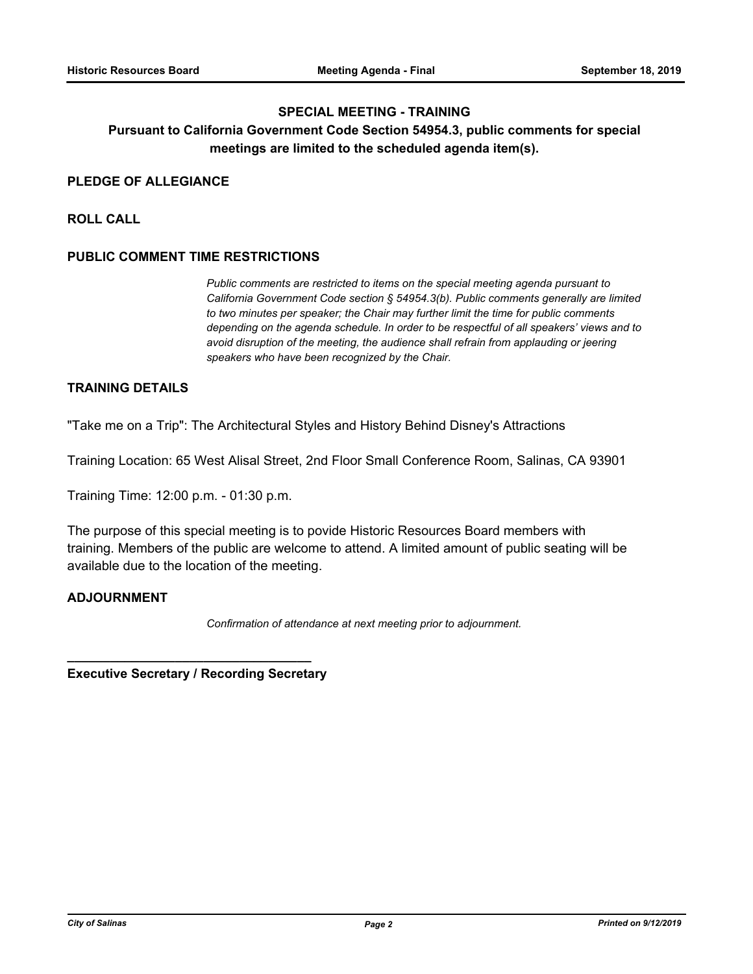### **SPECIAL MEETING - TRAINING**

# **Pursuant to California Government Code Section 54954.3, public comments for special meetings are limited to the scheduled agenda item(s).**

#### **PLEDGE OF ALLEGIANCE**

**ROLL CALL**

### **PUBLIC COMMENT TIME RESTRICTIONS**

*Public comments are restricted to items on the special meeting agenda pursuant to California Government Code section § 54954.3(b). Public comments generally are limited to two minutes per speaker; the Chair may further limit the time for public comments depending on the agenda schedule. In order to be respectful of all speakers' views and to avoid disruption of the meeting, the audience shall refrain from applauding or jeering speakers who have been recognized by the Chair.*

## **TRAINING DETAILS**

"Take me on a Trip": The Architectural Styles and History Behind Disney's Attractions

Training Location: 65 West Alisal Street, 2nd Floor Small Conference Room, Salinas, CA 93901

Training Time: 12:00 p.m. - 01:30 p.m.

The purpose of this special meeting is to povide Historic Resources Board members with training. Members of the public are welcome to attend. A limited amount of public seating will be available due to the location of the meeting.

#### **ADJOURNMENT**

*Confirmation of attendance at next meeting prior to adjournment.*

**Executive Secretary / Recording Secretary**

**\_\_\_\_\_\_\_\_\_\_\_\_\_\_\_\_\_\_\_\_\_\_\_\_\_\_\_\_\_\_\_\_\_\_**